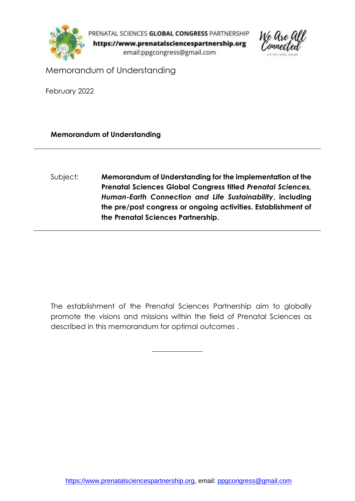

PRENATAL SCIENCES GLOBAL CONGRESS PARTNERSHIP https://www.prenatalsciencespartnership.org email:ppgcongress@gmail.com



Memorandum of Understanding

February 2022

**Memorandum of Understanding**

Subject: **Memorandum of Understanding for the implementation of the Prenatal Sciences Global Congress titled** *Prenatal Sciences, Human-Earth Connection and Life Sustainability***, including the pre/post congress or ongoing activities. Establishment of the Prenatal Sciences Partnership.**

The establishment of the Prenatal Sciences Partnership aim to globally promote the visions and missions within the field of Prenatal Sciences as described in this memorandum for optimal outcomes .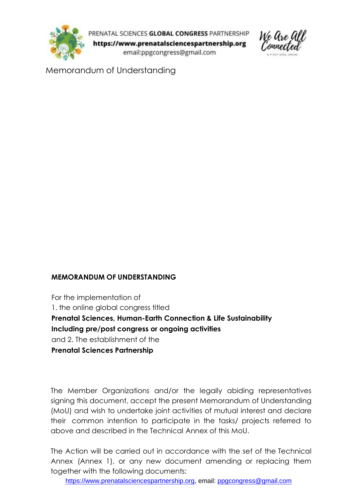

PRENATAL SCIENCES GLOBAL CONGRESS PARTNERSHIP https://www.prenatalsciencespartnership.org email:ppgcongress@gmail.com



Memorandum of Understanding

#### **MEMORANDUM OF UNDERSTANDING**

For the implementation of 1. the online global congress titled **Prenatal Sciences, Human-Earth Connection & Life Sustainability Including pre/post congress or ongoing activities**  and 2. The establishment of the **Prenatal Sciences Partnership**

The Member Organizations and/or the legally abiding representatives signing this document, accept the present Memorandum of Understanding (MoU) and wish to undertake joint activities of mutual interest and declare their common intention to participate in the tasks/ projects referred to above and described in the Technical Annex of this MoU.

The Action will be carried out in accordance with the set of the Technical Annex (Annex 1), or any new document amending or replacing them together with the following documents: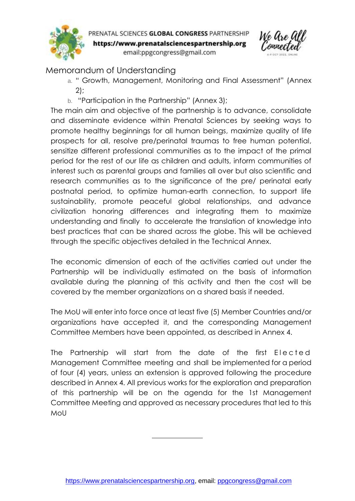

PRENATAL SCIENCES GLOBAL CONGRESS PARTNERSHIP https://www.prenatalsciencespartnership.org email:ppgcongress@gmail.com



# Memorandum of Understanding

- a. " Growth, Management, Monitoring and Final Assessment" (Annex 2);
- b. "Participation in the Partnership" (Annex 3);

The main aim and objective of the partnership is to advance, consolidate and disseminate evidence within Prenatal Sciences by seeking ways to promote healthy beginnings for all human beings, maximize quality of life prospects for all, resolve pre/perinatal traumas to free human potential, sensitize different professional communities as to the impact of the primal period for the rest of our life as children and adults, inform communities of interest such as parental groups and families all over but also scientific and research communities as to the significance of the pre/ perinatal early postnatal period, to optimize human-earth connection, to support life sustainability, promote peaceful global relationships, and advance civilization honoring differences and integrating them to maximize understanding and finally to accelerate the translation of knowledge into best practices that can be shared across the globe. This will be achieved through the specific objectives detailed in the Technical Annex.

The economic dimension of each of the activities carried out under the Partnership will be individually estimated on the basis of information available during the planning of this activity and then the cost will be covered by the member organizations on a shared basis if needed.

The MoU will enter into force once at least five (5) Member Countries and/or organizations have accepted it, and the corresponding Management Committee Members have been appointed, as described in Annex 4.

The Partnership will start from the date of the first Elected Management Committee meeting and shall be implemented for a period of four (4) years, unless an extension is approved following the procedure described in Annex 4. All previous works for the exploration and preparation of this partnership will be on the agenda for the 1st Management Committee Meeting and approved as necessary procedures that led to this MoU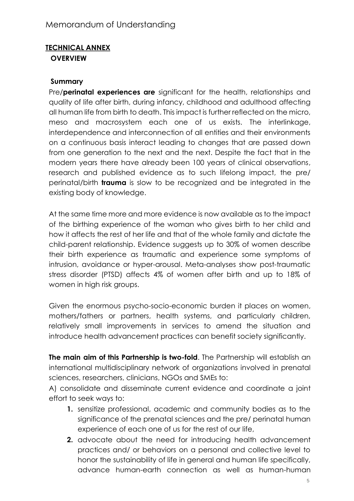#### **TECHNICAL ANNEX OVERVIEW**

#### **Summary**

Pre/**perinatal experiences are** significant for the health, relationships and quality of life after birth, during infancy, childhood and adulthood affecting all human life from birth to death. This impact is further reflected on the micro, meso and macrosystem each one of us exists. The interlinkage, interdependence and interconnection of all entities and their environments on a continuous basis interact leading to changes that are passed down from one generation to the next and the next. Despite the fact that in the modern years there have already been 100 years of clinical observations, research and published evidence as to such lifelong impact, the pre/ perinatal/birth **trauma** is slow to be recognized and be integrated in the existing body of knowledge.

At the same time more and more evidence is now available as to the impact of the birthing experience of the woman who gives birth to her child and how it affects the rest of her life and that of the whole family and dictate the child-parent relationship. Evidence suggests up to 30% of women describe their birth experience as traumatic and experience some symptoms of intrusion, avoidance or hyper-arousal. Meta-analyses show post-traumatic stress disorder (PTSD) affects 4% of women after birth and up to 18% of women in high risk groups.

Given the enormous psycho-socio-economic burden it places on women, mothers/fathers or partners, health systems, and particularly children, relatively small improvements in services to amend the situation and introduce health advancement practices can benefit society significantly.

**The main aim of this Partnership is two-fold**. The Partnership will establish an international multidisciplinary network of organizations involved in prenatal sciences, researchers, clinicians, NGOs and SMEs to:

A) consolidate and disseminate current evidence and coordinate a joint effort to seek ways to:

- **1.** sensitize professional, academic and community bodies as to the significance of the prenatal sciences and the pre/ perinatal human experience of each one of us for the rest of our life,
- **2.** advocate about the need for introducing health advancement practices and/ or behaviors on a personal and collective level to honor the sustainability of life in general and human life specifically, advance human-earth connection as well as human-human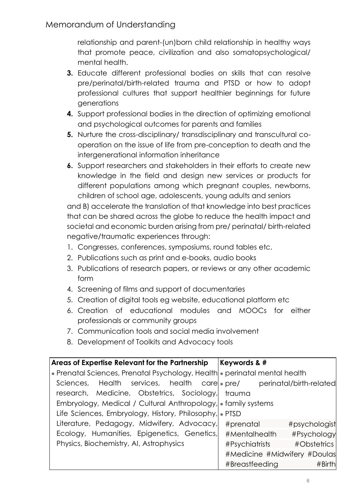relationship and parent-(un)born child relationship in healthy ways that promote peace, civilization and also somatopsychological/ mental health.

- **3.** Educate different professional bodies on skills that can resolve pre/perinatal/birth-related trauma and PTSD or how to adopt professional cultures that support healthier beginnings for future generations
- **4.** Support professional bodies in the direction of optimizing emotional and psychological outcomes for parents and families
- **5.** Nurture the cross-disciplinary/ transdisciplinary and transcultural cooperation on the issue of life from pre-conception to death and the intergenerational information inheritance
- **6.** Support researchers and stakeholders in their efforts to create new knowledge in the field and design new services or products for different populations among which pregnant couples, newborns, children of school age, adolescents, young adults and seniors

and B) accelerate the translation of that knowledge into best practices that can be shared across the globe to reduce the health impact and societal and economic burden arising from pre/ perinatal/ birth-related negative/traumatic experiences through:

- 1. Congresses, conferences, symposiums, round tables etc.
- 2. Publications such as print and e-books, audio books
- 3. Publications of research papers, or reviews or any other academic form
- 4. Screening of films and support of documentaries
- 5. Creation of digital tools eg website, educational platform etc
- 6. Creation of educational modules and MOOCs for either professionals or community groups
- 7. Communication tools and social media involvement
- 8. Development of Toolkits and Advocacy tools

| Areas of Expertise Relevant for the Partnership                            | <b>Keywords &amp; #</b>      |  |
|----------------------------------------------------------------------------|------------------------------|--|
| • Prenatal Sciences, Prenatal Psychology, Health • perinatal mental health |                              |  |
| Sciences, Health services, health care  • pre/ perinatal/birth-related     |                              |  |
| research, Medicine, Obstetrics, Sociology, trauma                          |                              |  |
| Embryology, Medical / Cultural Anthropology, Family systems                |                              |  |
| Life Sciences, Embryology, History, Philosophy, PTSD                       |                              |  |
| Literature, Pedagogy, Midwifery, Advocacy,                                 | #prenatal<br>#psychologist   |  |
| Ecology, Humanities, Epigenetics, Genetics,                                | #Psychology<br>#Mentalhealth |  |
| Physics, Biochemistry, AI, Astrophysics                                    | #Psychiatrists #Obstetrics   |  |
|                                                                            | #Medicine #Midwifery #Doulas |  |
|                                                                            | #Birth<br>#Breastfeeding     |  |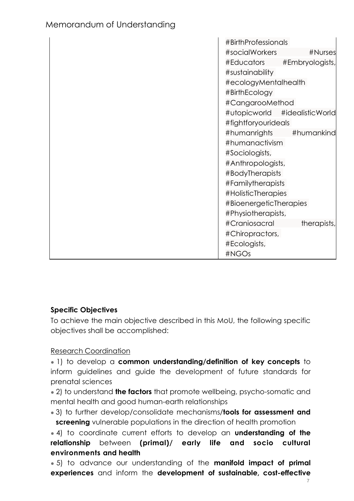| Memorandum of Understanding |
|-----------------------------|
|                             |

| #BirthProfessionals    |                  |
|------------------------|------------------|
| #socialWorkers         | #Nurses          |
| #Educators             | #Embryologists,  |
| #sustainability        |                  |
| #ecologyMentalhealth   |                  |
| #BirthEcology          |                  |
| #CangarooMethod        |                  |
| #utopicworld           | #idealisticWorld |
| #fightforyourideals    |                  |
| #humanrights           | #humankind       |
| #humanactivism         |                  |
| #Sociologists,         |                  |
| #Anthropologists,      |                  |
| #BodyTherapists        |                  |
| #Familytherapists      |                  |
| #HolisticTherapies     |                  |
| #BioenergeticTherapies |                  |
| #Physiotherapists,     |                  |
| #Craniosacral          | therapists,      |
| #Chiropractors,        |                  |
| #Ecologists,           |                  |
| #NGOs                  |                  |

#### **Specific Objectives**

To achieve the main objective described in this MoU, the following specific objectives shall be accomplished:

Research Coordination

● 1) to develop a **common understanding/definition of key concepts** to inform guidelines and guide the development of future standards for prenatal sciences

● 2) to understand **the factors** that promote wellbeing, psycho-somatic and mental health and good human-earth relationships

● 3) to further develop/consolidate mechanisms/**tools for assessment and screening** vulnerable populations in the direction of health promotion

● 4) to coordinate current efforts to develop an **understanding of the relationship** between **(primal)/ early life and socio cultural environments and health**

● 5) to advance our understanding of the **manifold impact of primal experiences** and inform the **development of sustainable, cost-effective**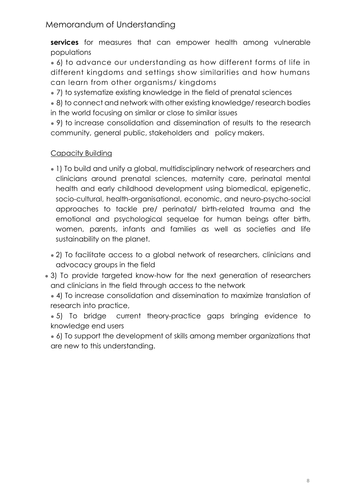**services** for measures that can empower health among vulnerable populations

• 6) to advance our understanding as how different forms of life in different kingdoms and settings show similarities and how humans can learn from other organisms/ kingdoms

• 7) to systematize existing knowledge in the field of prenatal sciences

• 8) to connect and network with other existing knowledge/ research bodies in the world focusing on similar or close to similar issues

• 9) to increase consolidation and dissemination of results to the research community, general public, stakeholders and policy makers.

### Capacity Building

- 1) To build and unify a global, multidisciplinary network of researchers and clinicians around prenatal sciences, maternity care, perinatal mental health and early childhood development using biomedical, epigenetic, socio-cultural, health-organisational, economic, and neuro-psycho-social approaches to tackle pre/ perinatal/ birth-related trauma and the emotional and psychological sequelae for human beings after birth, women, parents, infants and families as well as societies and life sustainability on the planet.
- 2) To facilitate access to a global network of researchers, clinicians and advocacy groups in the field
- 3) To provide targeted know-how for the next generation of researchers and clinicians in the field through access to the network

• 4) To increase consolidation and dissemination to maximize translation of research into practice,

• 5) To bridge current theory-practice gaps bringing evidence to knowledge end users

• 6) To support the development of skills among member organizations that are new to this understanding.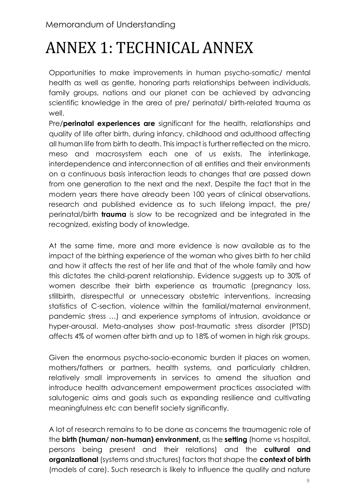# ANNEX 1: TECHNICAL ANNEX

Opportunities to make improvements in human psycho-somatic/ mental health as well as gentle, honoring parts relationships between individuals, family groups, nations and our planet can be achieved by advancing scientific knowledge in the area of pre/ perinatal/ birth-related trauma as well.

Pre/**perinatal experiences are** significant for the health, relationships and quality of life after birth, during infancy, childhood and adulthood affecting all human life from birth to death. This impact is further reflected on the micro, meso and macrosystem each one of us exists. The interlinkage, interdependence and interconnection of all entities and their environments on a continuous basis interaction leads to changes that are passed down from one generation to the next and the next. Despite the fact that in the modern years there have already been 100 years of clinical observations, research and published evidence as to such lifelong impact, the pre/ perinatal/birth **trauma** is slow to be recognized and be integrated in the recognized, existing body of knowledge.

At the same time, more and more evidence is now available as to the impact of the birthing experience of the woman who gives birth to her child and how it affects the rest of her life and that of the whole family and how this dictates the child-parent relationship. Evidence suggests up to 30% of women describe their birth experience as traumatic (pregnancy loss, stillbirth, disrespectful or unnecessary obstetric interventions, increasing statistics of C-section, violence within the familial/maternal environment, pandemic stress …) and experience symptoms of intrusion, avoidance or hyper-arousal. Meta-analyses show post-traumatic stress disorder (PTSD) affects 4% of women after birth and up to 18% of women in high risk groups.

Given the enormous psycho-socio-economic burden it places on women, mothers/fathers or partners, health systems, and particularly children, relatively small improvements in services to amend the situation and introduce health advancement empowerment practices associated with salutogenic aims and goals such as expanding resilience and cultivating meaningfulness etc can benefit society significantly.

A lot of research remains to to be done as concerns the traumagenic role of the **birth (human/ non-human) environment,** as the **setting** (home vs hospital, persons being present and their relations) and the **cultural and organizational** (systems and structures) factors that shape the **context of birth**  (models of care). Such research is likely to influence the quality and nature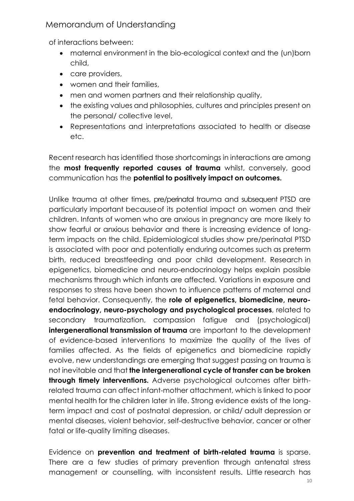of interactions between:

- maternal environment in the bio-ecological context and the (un)born child,
- care providers,
- women and their families,
- men and women partners and their relationship quality,
- the existing values and philosophies, cultures and principles present on the personal/ collective level,
- Representations and interpretations associated to health or disease etc.

Recent research has identified those shortcomings in interactions are among the **most frequently reported causes of trauma** whilst, conversely, good communication has the **potential to positively impact on outcomes.**

Unlike trauma at other times, pre/perinatal trauma and subsequent PTSD are particularly important becauseof its potential impact on women and their children. Infants of women who are anxious in pregnancy are more likely to show fearful or anxious behavior and there is increasing evidence of longterm impacts on the child. Epidemiological studies show pre/perinatal PTSD is associated with poor and potentially enduring outcomes such as preterm birth, reduced breastfeeding and poor child development. Research in epigenetics, biomedicine and neuro-endocrinology helps explain possible mechanisms through which infants are affected. Variations in exposure and responses to stress have been shown to influence patterns of maternal and fetal behavior. Consequently, the **role of epigenetics, biomedicine, neuroendocrinology, neuro-psychology and psychological processes**, related to secondary traumatization, compassion fatigue and (psychological) **intergenerational transmission of trauma** are important to the development of evidence-based interventions to maximize the quality of the lives of families affected. As the fields of epigenetics and biomedicine rapidly evolve, new understandings are emerging that suggest passing on trauma is not inevitable and that **the intergenerational cycle of transfer can be broken through timely interventions.** Adverse psychological outcomes after birthrelated trauma can affect infant-mother attachment, which is linked to poor mental health for the children later in life. Strong evidence exists of the longterm impact and cost of postnatal depression, or child/ adult depression or mental diseases, violent behavior, self-destructive behavior, cancer or other fatal or life-quality limiting diseases.

Evidence on **prevention and treatment of birth-related trauma** is sparse. There are a few studies of primary prevention through antenatal stress management or counselling, with inconsistent results. Little research has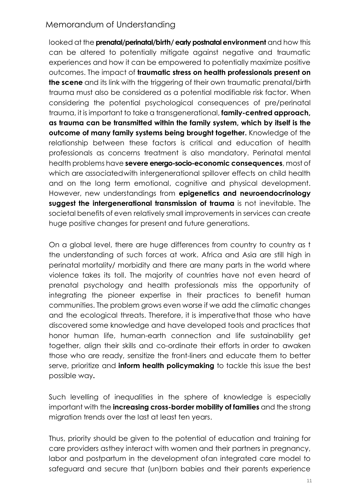looked at the **prenatal/perinatal/birth/ early postnatal environment** and how this can be altered to potentially mitigate against negative and traumatic experiences and how it can be empowered to potentially maximize positive outcomes. The impact of **traumatic stress on health professionals present on the scene** and its link with the triggering of their own traumatic prenatal/birth trauma must also be considered as a potential modifiable risk factor. When considering the potential psychological consequences of pre/perinatal trauma, it is important to take a transgenerational, **family-centred approach, as trauma can be transmitted within the family system, which by itself is the outcome of many family systems being brought together.** Knowledge of the relationship between these factors is critical and education of health professionals as concerns treatment is also mandatory. Perinatal mental health problems have **severe energo-socio-economic consequences**, most of which are associatedwith intergenerational spillover effects on child health and on the long term emotional, cognitive and physical development. However, new understandings from **epigenetics and neuroendocrinology suggest the intergenerational transmission of trauma** is not inevitable. The societal benefits of even relatively small improvements in services can create huge positive changes for present and future generations.

On a global level, there are huge differences from country to country as t the understanding of such forces at work. Africa and Asia are still high in perinatal mortality/ morbidity and there are many parts in the world where violence takes its toll. The majority of countries have not even heard of prenatal psychology and health professionals miss the opportunity of integrating the pioneer expertise in their practices to benefit human communities. The problem grows even worse if we add the climatic changes and the ecological threats. Therefore, it is imperative that those who have discovered some knowledge and have developed tools and practices that honor human life, human-earth connection and life sustainability get together, align their skills and co-ordinate their efforts in order to awaken those who are ready, sensitize the front-liners and educate them to better serve, prioritize and **inform health policymaking** to tackle this issue the best possible way**.**

Such levelling of inequalities in the sphere of knowledge is especially important with the **increasing cross-border mobility of families** and the strong migration trends over the last at least ten years.

Thus, priority should be given to the potential of education and training for care providers asthey interact with women and their partners in pregnancy, labor and postpartum in the development ofan integrated care model to safeguard and secure that (un)born babies and their parents experience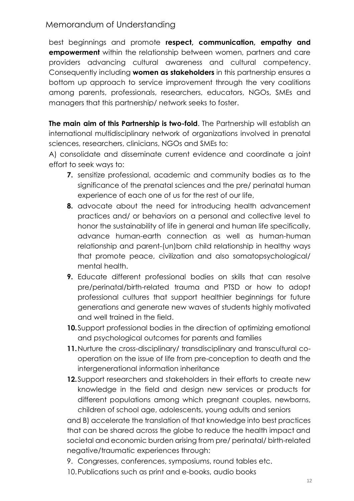best beginnings and promote **respect, communication, empathy and empowerment** within the relationship between women, partners and care providers advancing cultural awareness and cultural competency. Consequently including **women as stakeholders** in this partnership ensures a bottom up approach to service improvement through the very coalitions among parents, professionals, researchers, educators, NGOs, SMEs and managers that this partnership/ network seeks to foster.

**The main aim of this Partnership is two-fold**. The Partnership will establish an international multidisciplinary network of organizations involved in prenatal sciences, researchers, clinicians, NGOs and SMEs to:

A) consolidate and disseminate current evidence and coordinate a joint effort to seek ways to:

- **7.** sensitize professional, academic and community bodies as to the significance of the prenatal sciences and the pre/ perinatal human experience of each one of us for the rest of our life,
- **8.** advocate about the need for introducing health advancement practices and/ or behaviors on a personal and collective level to honor the sustainability of life in general and human life specifically, advance human-earth connection as well as human-human relationship and parent-(un)born child relationship in healthy ways that promote peace, civilization and also somatopsychological/ mental health.
- **9.** Educate different professional bodies on skills that can resolve pre/perinatal/birth-related trauma and PTSD or how to adopt professional cultures that support healthier beginnings for future generations and generate new waves of students highly motivated and well trained in the field.
- **10.**Support professional bodies in the direction of optimizing emotional and psychological outcomes for parents and families
- **11.**Nurture the cross-disciplinary/ transdisciplinary and transcultural cooperation on the issue of life from pre-conception to death and the intergenerational information inheritance
- **12.**Support researchers and stakeholders in their efforts to create new knowledge in the field and design new services or products for different populations among which pregnant couples, newborns, children of school age, adolescents, young adults and seniors

and B) accelerate the translation of that knowledge into best practices that can be shared across the globe to reduce the health impact and societal and economic burden arising from pre/ perinatal/ birth-related negative/traumatic experiences through:

- 9. Congresses, conferences, symposiums, round tables etc.
- 10.Publications such as print and e-books, audio books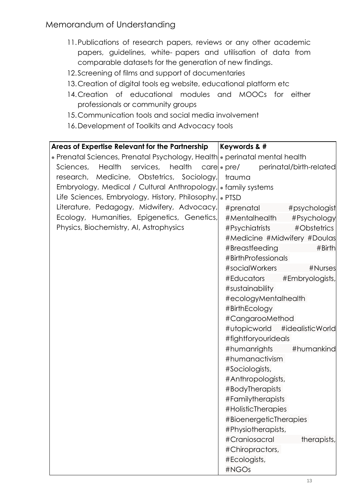- 11.Publications of research papers, reviews or any other academic papers, guidelines, white- papers and utilisation of data from comparable datasets for the generation of new findings.
- 12.Screening of films and support of documentaries
- 13.Creation of digital tools eg website, educational platform etc
- 14.Creation of educational modules and MOOCs for either professionals or community groups
- 15.Communication tools and social media involvement
- 16.Development of Toolkits and Advocacy tools

| Areas of Expertise Relevant for the Partnership                            | <b>Keywords &amp; #</b>                            |  |  |
|----------------------------------------------------------------------------|----------------------------------------------------|--|--|
| • Prenatal Sciences, Prenatal Psychology, Health • perinatal mental health |                                                    |  |  |
| Sciences,<br>Health                                                        | services, health care pre/ perinatal/birth-related |  |  |
| research, Medicine, Obstetrics, Sociology,                                 | trauma                                             |  |  |
| Embryology, Medical / Cultural Anthropology, family systems                |                                                    |  |  |
| Life Sciences, Embryology, History, Philosophy, PTSD                       |                                                    |  |  |
| Literature, Pedagogy, Midwifery, Advocacy,                                 | #prenatal<br>#psychologist                         |  |  |
| Ecology, Humanities, Epigenetics, Genetics,                                | #Mentalhealth<br>#Psychology                       |  |  |
| Physics, Biochemistry, AI, Astrophysics                                    | #Psychiatrists<br>#Obstetrics                      |  |  |
|                                                                            | #Medicine #Midwifery #Doulas                       |  |  |
|                                                                            | #Breastfeeding<br>#Birth                           |  |  |
|                                                                            | #BirthProfessionals                                |  |  |
|                                                                            | #socialWorkers<br>#Nurses                          |  |  |
|                                                                            | #Educators<br>#Embryologists,                      |  |  |
|                                                                            | #sustainability                                    |  |  |
|                                                                            | #ecologyMentalhealth                               |  |  |
|                                                                            | #BirthEcology                                      |  |  |
|                                                                            | #CangarooMethod                                    |  |  |
|                                                                            | #utopicworld #idealisticWorld                      |  |  |
|                                                                            | #fightforyourideals                                |  |  |
|                                                                            | #humanrights<br>#humankind                         |  |  |
|                                                                            | #humanactivism                                     |  |  |
|                                                                            | #Sociologists,<br>#Anthropologists,                |  |  |
|                                                                            | #BodyTherapists                                    |  |  |
|                                                                            | #Familytherapists                                  |  |  |
|                                                                            | #HolisticTherapies                                 |  |  |
|                                                                            | #BioenergeticTherapies                             |  |  |
|                                                                            | #Physiotherapists,                                 |  |  |
|                                                                            | #Craniosacral<br>therapists,                       |  |  |
|                                                                            | #Chiropractors,                                    |  |  |
|                                                                            | #Ecologists,                                       |  |  |
|                                                                            | #NGOs                                              |  |  |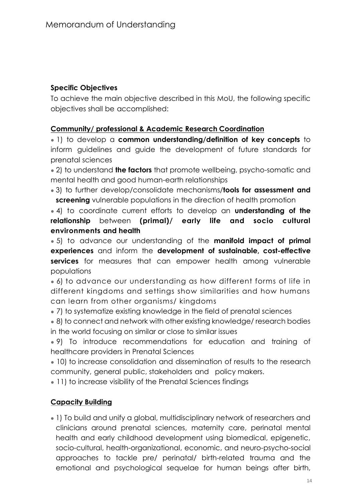#### **Specific Objectives**

To achieve the main objective described in this MoU, the following specific objectives shall be accomplished:

#### **Community/ professional & Academic Research Coordination**

● 1) to develop a **common understanding/definition of key concepts** to inform guidelines and guide the development of future standards for prenatal sciences

● 2) to understand **the factors** that promote wellbeing, psycho-somatic and mental health and good human-earth relationships

● 3) to further develop/consolidate mechanisms/**tools for assessment and screening** vulnerable populations in the direction of health promotion

● 4) to coordinate current efforts to develop an **understanding of the relationship** between **(primal)/ early life and socio cultural environments and health**

● 5) to advance our understanding of the **manifold impact of primal experiences** and inform the **development of sustainable, cost-effective services** for measures that can empower health among vulnerable populations

• 6) to advance our understanding as how different forms of life in different kingdoms and settings show similarities and how humans can learn from other organisms/ kingdoms

• 7) to systematize existing knowledge in the field of prenatal sciences

• 8) to connect and network with other existing knowledge/ research bodies in the world focusing on similar or close to similar issues

• 9) To introduce recommendations for education and training of healthcare providers in Prenatal Sciences

• 10) to increase consolidation and dissemination of results to the research community, general public, stakeholders and policy makers.

• 11) to increase visibility of the Prenatal Sciences findings

#### **Capacity Building**

● 1) To build and unify a global, multidisciplinary network of researchers and clinicians around prenatal sciences, maternity care, perinatal mental health and early childhood development using biomedical, epigenetic, socio-cultural, health-organizational, economic, and neuro-psycho-social approaches to tackle pre/ perinatal/ birth-related trauma and the emotional and psychological sequelae for human beings after birth,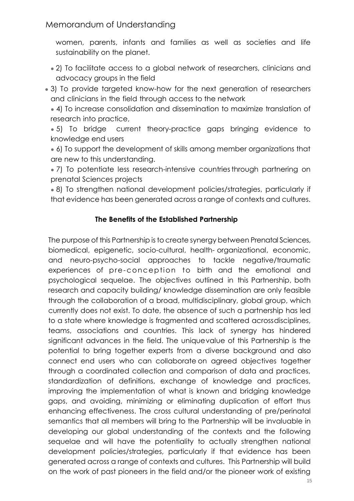women, parents, infants and families as well as societies and life sustainability on the planet.

- 2) To facilitate access to a global network of researchers, clinicians and advocacy groups in the field
- 3) To provide targeted know-how for the next generation of researchers and clinicians in the field through access to the network

• 4) To increase consolidation and dissemination to maximize translation of research into practice,

• 5) To bridge current theory-practice gaps bringing evidence to knowledge end users

• 6) To support the development of skills among member organizations that are new to this understanding.

• 7) To potentiate less research-intensive countries through partnering on prenatal Sciences projects

• 8) To strengthen national development policies/strategies, particularly if that evidence has been generated across a range of contexts and cultures.

#### **The Benefits of the Established Partnership**

The purpose of this Partnership is to create synergy between Prenatal Sciences, biomedical, epigenetic, socio-cultural, health- organizational, economic, and neuro-psycho-social approaches to tackle negative/traumatic experiences of pre-conception to birth and the emotional and psychological sequelae. The objectives outlined in this Partnership, both research and capacity building/ knowledge dissemination are only feasible through the collaboration of a broad, multidisciplinary, global group, which currently does not exist. To date, the absence of such a partnership has led to a state where knowledge is fragmented and scattered acrossdisciplines, teams, associations and countries. This lack of synergy has hindered significant advances in the field. The uniquevalue of this Partnership is the potential to bring together experts from a diverse background and also connect end users who can collaborate on agreed objectives together through a coordinated collection and comparison of data and practices, standardization of definitions, exchange of knowledge and practices, improving the implementation of what is known and bridging knowledge gaps, and avoiding, minimizing or eliminating duplication of effort thus enhancing effectiveness. The cross cultural understanding of pre/perinatal semantics that all members will bring to the Partnership will be invaluable in developing our global understanding of the contexts and the following sequelae and will have the potentiality to actually strengthen national development policies/strategies, particularly if that evidence has been generated across a range of contexts and cultures. This Partnership will build on the work of past pioneers in the field and/or the pioneer work of existing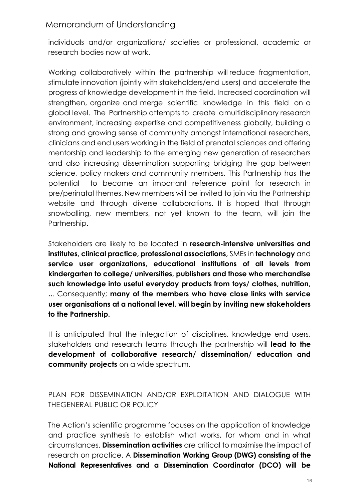individuals and/or organizations/ societies or professional, academic or research bodies now at work.

Working collaboratively within the partnership will reduce fragmentation, stimulate innovation (jointly with stakeholders/end users) and accelerate the progress of knowledge development in the field. Increased coordination will strengthen, organize and merge scientific knowledge in this field on a global level. The Partnership attempts to create amultidisciplinary research environment, increasing expertise and competitiveness globally, building a strong and growing sense of community amongst international researchers, clinicians and end users working in the field of prenatal sciences and offering mentorship and leadership to the emerging new generation of researchers and also increasing dissemination supporting bridging the gap between science, policy makers and community members. This Partnership has the potential to become an important reference point for research in pre/perinatal themes. New members will be invited to join via the Partnership website and through diverse collaborations. It is hoped that through snowballing, new members, not yet known to the team, will join the Partnership.

Stakeholders are likely to be located in **research-intensive universities and institutes, clinical practice, professional associations,** SMEs in **technology** and **service user organizations, educational institutions of all levels from kindergarten to college/ universities, publishers and those who merchandise such knowledge into useful everyday products from toys/ clothes, nutrition, ..**. Consequently; **many of the members who have close links with service user organisations at a national level, will begin by inviting new stakeholders to the Partnership.** 

It is anticipated that the integration of disciplines, knowledge end users, stakeholders and research teams through the partnership will **lead to the development of collaborative research/ dissemination/ education and community projects** on a wide spectrum.

PLAN FOR DISSEMINATION AND/OR EXPLOITATION AND DIALOGUE WITH THEGENERAL PUBLIC OR POLICY

The Action's scientific programme focuses on the application of knowledge and practice synthesis to establish what works, for whom and in what circumstances. **Dissemination activities** are critical to maximise the impact of research on practice. A **Dissemination Working Group (DWG) consisting of the National Representatives and a Dissemination Coordinator (DCO) will be**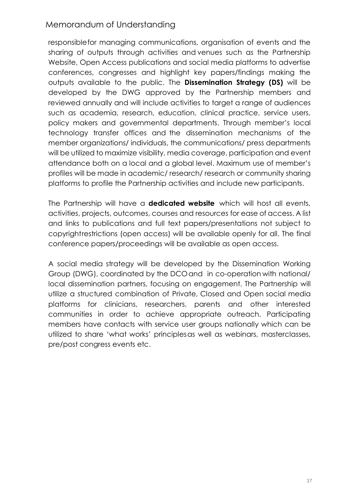responsiblefor managing communications, organisation of events and the sharing of outputs through activities and venues such as the Partnership Website, Open Access publications and social media platforms to advertise conferences, congresses and highlight key papers/findings making the outputs available to the public. The **Dissemination Strategy (DS)** will be developed by the DWG approved by the Partnership members and reviewed annually and will include activities to target a range of audiences such as academia, research, education, clinical practice, service users, policy makers and governmental departments. Through member's local technology transfer offices and the dissemination mechanisms of the member organizations/ individuals, the communications/ press departments will be utilized to maximize visibility, media coverage, participation and event attendance both on a local and a global level. Maximum use of member's profiles will be made in academic/ research/ research or community sharing platforms to profile the Partnership activities and include new participants.

The Partnership will have a **dedicated website** which will host all events, activities, projects, outcomes, courses and resources for ease of access. A list and links to publications and full text papers/presentations not subject to copyrightrestrictions (open access) will be available openly for all. The final conference papers/proceedings will be available as open access.

A social media strategy will be developed by the Dissemination Working Group (DWG), coordinated by the DCOand in co-operation with national/ local dissemination partners, focusing on engagement. The Partnership will utilize a structured combination of Private, Closed and Open social media platforms for clinicians, researchers, parents and other interested communities in order to achieve appropriate outreach. Participating members have contacts with service user groups nationally which can be utilized to share 'what works' principlesas well as webinars, masterclasses, pre/post congress events etc.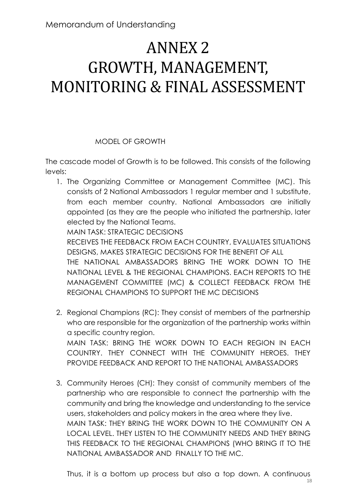# ANNEX 2 GROWTH, MANAGEMENT, MONITORING & FINAL ASSESSMENT

### MODEL OF GROWTH

The cascade model of Growth is to be followed. This consists of the following levels:

1. The Organizing Committee or Management Committee (MC). This consists of 2 National Ambassadors 1 regular member and 1 substitute, from each member country. National Ambassadors are initially appointed (as they are the people who initiated the partnership, later elected by the National Teams.

MAIN TASK: STRATEGIC DECISIONS

RECEIVES THE FEEDBACK FROM EACH COUNTRY, EVALUATES SITUATIONS DESIGNS, MAKES STRATEGIC DECISIONS FOR THE BENEFIT OF ALL THE NATIONAL AMBASSADORS BRING THE WORK DOWN TO THE NATIONAL LEVEL & THE REGIONAL CHAMPIONS. EACH REPORTS TO THE MANAGEMENT COMMITTEE (MC) & COLLECT FEEDBACK FROM THE REGIONAL CHAMPIONS TO SUPPORT THE MC DECISIONS

- 2. Regional Champions (RC): They consist of members of the partnership who are responsible for the organization of the partnership works within a specific country region. MAIN TASK: BRING THE WORK DOWN TO EACH REGION IN EACH COUNTRY. THEY CONNECT WITH THE COMMUNITY HEROES. THEY PROVIDE FEEDBACK AND REPORT TO THE NATIONAL AMBASSADORS
- 3. Community Heroes (CH): They consist of community members of the partnership who are responsible to connect the partnership with the community and bring the knowledge and understanding to the service users, stakeholders and policy makers in the area where they live. MAIN TASK: THEY BRING THE WORK DOWN TO THE COMMUNITY ON A LOCAL LEVEL. THEY LISTEN TO THE COMMUNITY NEEDS AND THEY BRING THIS FEEDBACK TO THE REGIONAL CHAMPIONS (WHO BRING IT TO THE NATIONAL AMBASSADOR AND FINALLY TO THE MC.

Thus, it is a bottom up process but also a top down. A continuous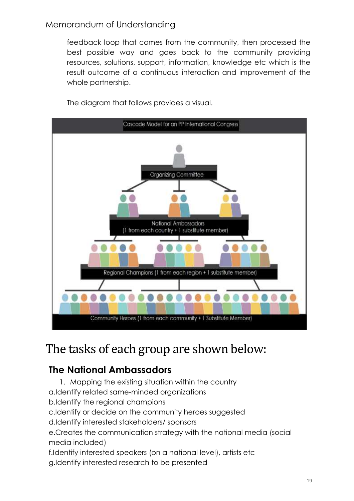feedback loop that comes from the community, then processed the best possible way and goes back to the community providing resources, solutions, support, information, knowledge etc which is the result outcome of a continuous interaction and improvement of the whole partnership.



The diagram that follows provides a visual.

# The tasks of each group are shown below:

# **The National Ambassadors**

- 1. Mapping the existing situation within the country
- a.Identify related same-minded organizations
- b.Identify the regional champions
- c.Identify or decide on the community heroes suggested
- d.Identify interested stakeholders/ sponsors
- e.Creates the communication strategy with the national media (social media included)
- f.Identify interested speakers (on a national level), artists etc
- g.Identify interested research to be presented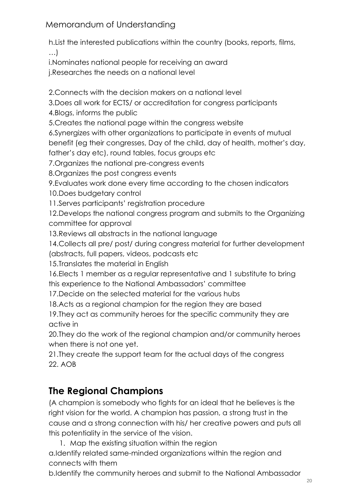h.List the interested publications within the country (books, reports, films, …)

i.Nominates national people for receiving an award j.Researches the needs on a national level

2.Connects with the decision makers on a national level

3.Does all work for ECTS/ or accreditation for congress participants

4.Blogs, informs the public

5.Creates the national page within the congress website

6.Synergizes with other organizations to participate in events of mutual benefit (eg their congresses, Day of the child, day of health, mother's day,

father's day etc), round tables, focus groups etc 7.Organizes the national pre-congress events

8.Organizes the post congress events

9.Evaluates work done every time according to the chosen indicators

10.Does budgetary control

11.Serves participants' registration procedure

12.Develops the national congress program and submits to the Organizing committee for approval

13. Reviews all abstracts in the national language

14.Collects all pre/ post/ during congress material for further development (abstracts, full papers, videos, podcasts etc

15.Translates the material in English

16.Elects 1 member as a regular representative and 1 substitute to bring this experience to the National Ambassadors' committee

17.Decide on the selected material for the various hubs

18.Acts as a regional champion for the region they are based

19.They act as community heroes for the specific community they are active in

20.They do the work of the regional champion and/or community heroes when there is not one yet.

21.They create the support team for the actual days of the congress 22. AOB

# **The Regional Champions**

(A champion is somebody who fights for an ideal that he believes is the right vision for the world. A champion has passion, a strong trust in the cause and a strong connection with his/ her creative powers and puts all this potentiality in the service of the vision.

1. Map the existing situation within the region

a.Identify related same-minded organizations within the region and connects with them

b.Identify the community heroes and submit to the National Ambassador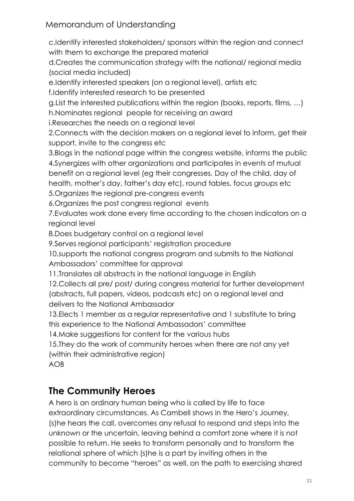c.Identify interested stakeholders/ sponsors within the region and connect with them to exchange the prepared material

d.Creates the communication strategy with the national/ regional media (social media included)

e.Identify interested speakers (on a regional level), artists etc

f.Identify interested research to be presented

g.List the interested publications within the region (books, reports, films, …) h.Nominates regional people for receiving an award

i.Researches the needs on a regional level

2.Connects with the decision makers on a regional level to inform, get their support, invite to the congress etc

3.Blogs in the national page within the congress website, informs the public 4.Synergizes with other organizations and participates in events of mutual benefit on a regional level (eg their congresses, Day of the child, day of health, mother's day, father's day etc), round tables, focus groups etc

5.Organizes the regional pre-congress events

6.Organizes the post congress regional events

7.Evaluates work done every time according to the chosen indicators on a regional level

8.Does budgetary control on a regional level

9.Serves regional participants' registration procedure

10.supports the national congress program and submits to the National Ambassadors' committee for approval

11.Translates all abstracts in the national language in English

12.Collects all pre/ post/ during congress material for further development (abstracts, full papers, videos, podcasts etc) on a regional level and delivers to the National Ambassador

13.Elects 1 member as a regular representative and 1 substitute to bring this experience to the National Ambassadors' committee

14.Make suggestions for content for the various hubs

15.They do the work of community heroes when there are not any yet (within their administrative region)

AOB

# **The Community Heroes**

A hero is an ordinary human being who is called by life to face extraordinary circumstances. As Cambell shows in the Hero's Journey, (s)he hears the call, overcomes any refusal to respond and steps into the unknown or the uncertain, leaving behind a comfort zone where it is not possible to return. He seeks to transform personally and to transform the relational sphere of which (s)he is a part by inviting others in the community to become "heroes" as well, on the path to exercising shared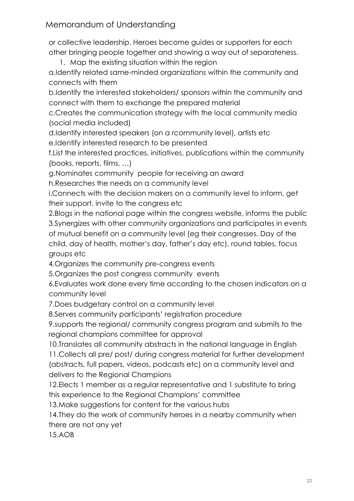or collective leadership. Heroes become guides or supporters for each other bringing people together and showing a way out of separateness.

1. Map the existing situation within the region a.Identify related same-minded organizations within the community and connects with them

b.Identify the interested stakeholders/ sponsors within the community and connect with them to exchange the prepared material

c.Creates the communication strategy with the local community media (social media included)

d.Identify interested speakers (on a rcommunity level), artists etc e.Identify interested research to be presented

f.List the interested practices, initiatives, publications within the community (books, reports, films, …)

g.Nominates community people for receiving an award

h.Researches the needs on a community level

i.Connects with the decision makers on a community level to inform, get their support, invite to the congress etc

2.Blogs in the national page within the congress website, informs the public 3.Synergizes with other community organizations and participates in events of mutual benefit on a community level (eg their congresses, Day of the child, day of health, mother's day, father's day etc), round tables, focus groups etc

4.Organizes the community pre-congress events

5.Organizes the post congress community events

6.Evaluates work done every time according to the chosen indicators on a community level

7.Does budgetary control on a community level

8.Serves community participants' registration procedure

9.supports the regional/ community congress program and submits to the regional champions committee for approval

10.Translates all community abstracts in the national language in English 11.Collects all pre/ post/ during congress material for further development (abstracts, full papers, videos, podcasts etc) on a community level and delivers to the Regional Champions

12.Elects 1 member as a regular representative and 1 substitute to bring this experience to the Regional Champions' committee

13.Make suggestions for content for the various hubs

14.They do the work of community heroes in a nearby community when there are not any yet

15.AOB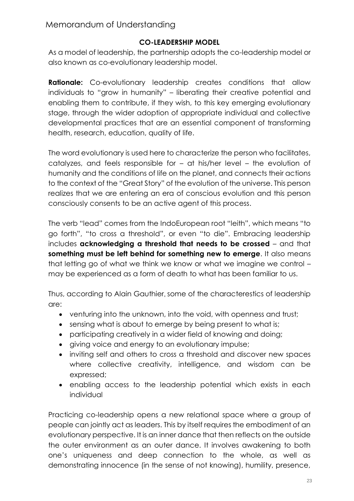#### **CO-LEADERSHIP MODEL**

As a model of leadership, the partnership adopts the co-leadership model or also known as co-evolutionary leadership model.

**Rationale:** Co-evolutionary leadership creates conditions that allow individuals to "grow in humanity" – liberating their creative potential and enabling them to contribute, if they wish, to this key emerging evolutionary stage, through the wider adoption of appropriate individual and collective developmental practices that are an essential component of transforming health, research, education, quality of life.

The word evolutionary is used here to characterize the person who facilitates, catalyzes, and feels responsible for – at his/her level – the evolution of humanity and the conditions of life on the planet, and connects their actions to the context of the "Great Story" of the evolution of the universe. This person realizes that we are entering an era of conscious evolution and this person consciously consents to be an active agent of this process.

The verb "lead" comes from the IndoEuropean root "leith", which means "to go forth", "to cross a threshold", or even "to die". Embracing leadership includes **acknowledging a threshold that needs to be crossed** – and that **something must be left behind for something new to emerge.** It also means that letting go of what we think we know or what we imagine we control – may be experienced as a form of death to what has been familiar to us.

Thus, according to Alain Gauthier, some of the characterestics of leadership are:

- venturing into the unknown, into the void, with openness and trust;
- sensing what is about to emerge by being present to what is;
- participating creatively in a wider field of knowing and doing;
- giving voice and energy to an evolutionary impulse;
- inviting self and others to cross a threshold and discover new spaces where collective creativity, intelligence, and wisdom can be expressed;
- enabling access to the leadership potential which exists in each individual

Practicing co-leadership opens a new relational space where a group of people can jointly act as leaders. This by itself requires the embodiment of an evolutionary perspective. It is an inner dance that then reflects on the outside the outer environment as an outer dance. It involves awakening to both one's uniqueness and deep connection to the whole, as well as demonstrating innocence (in the sense of not knowing), humility, presence,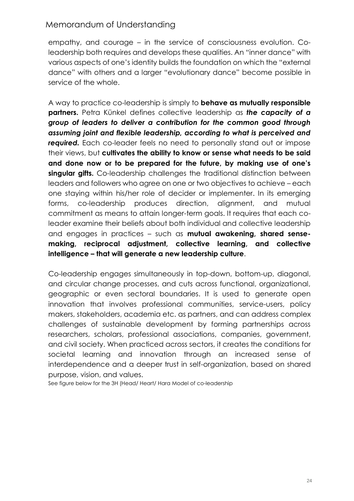empathy, and courage – in the service of consciousness evolution. Coleadership both requires and develops these qualities. An "inner dance" with various aspects of one's identity builds the foundation on which the "external dance" with others and a larger "evolutionary dance" become possible in service of the whole.

A way to practice co-leadership is simply to **behave as mutually responsible partners.** Petra Künkel defines collective leadership as *the capacity of a group of leaders to deliver a contribution for the common good through assuming joint and flexible leadership, according to what is perceived and*  **required.** Each co-leader feels no need to personally stand out or impose their views, but **cultivates the ability to know or sense what needs to be said and done now or to be prepared for the future, by making use of one's singular gifts.** Co-leadership challenges the traditional distinction between leaders and followers who agree on one or two objectives to achieve – each one staying within his/her role of decider or implementer. In its emerging forms, co-leadership produces direction, alignment, and mutual commitment as means to attain longer-term goals. It requires that each coleader examine their beliefs about both individual and collective leadership and engages in practices – such as **mutual awakening, shared sensemaking, reciprocal adjustment, collective learning, and collective intelligence – that will generate a new leadership culture**.

Co-leadership engages simultaneously in top-down, bottom-up, diagonal, and circular change processes, and cuts across functional, organizational, geographic or even sectoral boundaries. It is used to generate open innovation that involves professional communities, service-users, policy makers, stakeholders, academia etc. as partners, and can address complex challenges of sustainable development by forming partnerships across researchers, scholars, professional associations, companies, government, and civil society. When practiced across sectors, it creates the conditions for societal learning and innovation through an increased sense of interdependence and a deeper trust in self-organization, based on shared purpose, vision, and values.

See figure below for the 3H (Head/ Heart/ Hara Model of co-leadership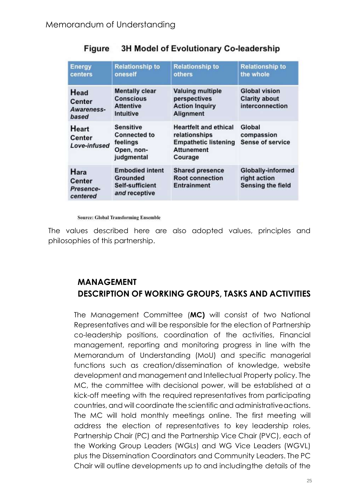| <b>Energy</b><br>centers                       | <b>Relationship to</b><br>oneself                                               | <b>Relationship to</b><br>others                                                                             | <b>Relationship to</b><br>the whole                                  |
|------------------------------------------------|---------------------------------------------------------------------------------|--------------------------------------------------------------------------------------------------------------|----------------------------------------------------------------------|
| Head<br><b>Center</b><br>Awareness-<br>based   | <b>Mentally clear</b><br><b>Conscious</b><br><b>Attentive</b><br>Intuitive      | <b>Valuing multiple</b><br>perspectives<br><b>Action Inquiry</b><br><b>Alignment</b>                         | <b>Global vision</b><br><b>Clarity about</b><br>interconnection      |
| Heart<br>Center<br>Love-infused                | <b>Sensitive</b><br><b>Connected to</b><br>feelings<br>Open, non-<br>judgmental | <b>Heartfelt and ethical</b><br>relationships<br><b>Empathetic listening</b><br><b>Attunement</b><br>Courage | Global<br>compassion<br><b>Sense of service</b>                      |
| Hara<br><b>Center</b><br>Presence-<br>centered | <b>Embodied intent</b><br><b>Grounded</b><br>Self-sufficient<br>and receptive   | <b>Shared presence</b><br><b>Root connection</b><br><b>Entrainment</b>                                       | <b>Globally-informed</b><br>right action<br><b>Sensing the field</b> |

#### 3H Model of Evolutionary Co-leadership Figure

**Source: Global Transforming Ensemble** 

The values described here are also adopted values, principles and philosophies of this partnership.

# **MANAGEMENT DESCRIPTION OF WORKING GROUPS, TASKS AND ACTIVITIES**

The Management Committee (**MC)** will consist of two National Representatives and will be responsible for the election of Partnership co-leadership positions, coordination of the activities, Financial management, reporting and monitoring progress in line with the Memorandum of Understanding (MoU) and specific managerial functions such as creation/dissemination of knowledge, website development and management and Intellectual Property policy. The MC, the committee with decisional power, will be established at a kick-off meeting with the required representatives from participating countries, and will coordinate the scientific and administrativeactions. The MC will hold monthly meetings online. The first meeting will address the election of representatives to key leadership roles, Partnership Chair (PC) and the Partnership Vice Chair (PVC), each of the Working Group Leaders (WGLs) and WG Vice Leaders (WGVL) plus the Dissemination Coordinators and Community Leaders. The PC Chair will outline developments up to and includingthe details of the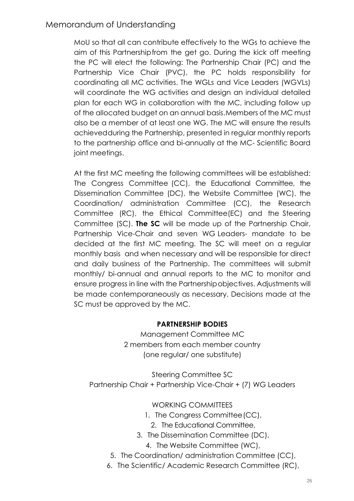MoU so that all can contribute effectively to the WGs to achieve the aim of this Partnershipfrom the get go. During the kick off meeting the PC will elect the following: The Partnership Chair (PC) and the Partnership Vice Chair (PVC), the PC holds responsibility for coordinating all MC activities. The WGLs and Vice Leaders (WGVLs) will coordinate the WG activities and design an individual detailed plan for each WG in collaboration with the MC, including follow up of the allocated budget on an annual basis.Members of the MC must also be a member of at least one WG. The MC will ensure the results achievedduring the Partnership, presented in regular monthly reports to the partnership office and bi-annually at the MC- Scientific Board joint meetings.

At the first MC meeting the following committees will be established: The Congress Committee (CC), the Educational Committee, the Dissemination Committee (DC), the Website Committee (WC), the Coordination/ administration Committee (CC), the Research Committee (RC), the Ethical Committee(EC) and the Steering Committee (SC). **The SC** will be made up of the Partnership Chair, Partnership Vice-Chair and seven WG Leaders- mandate to be decided at the first MC meeting. The SC will meet on a regular monthly basis and when necessary and will be responsible for direct and daily business of the Partnership. The committees will submit monthly/ bi-annual and annual reports to the MC to monitor and ensure progress in line with the Partnershipobjectives. Adjustments will be made contemporaneously as necessary. Decisions made at the SC must be approved by the MC.

#### **PARTNERSHIP BODIES**

Management Committee MC 2 members from each member country (one regular/ one substitute)

Steering Committee SC Partnership Chair + Partnership Vice-Chair + (7) WG Leaders

WORKING COMMITTEES

- 1. The Congress Committee(CC),
	- 2. The Educational Committee,
- 3. The Dissemination Committee (DC),
	- 4. The Website Committee (WC),
- 5. The Coordination/ administration Committee (CC),
- 6. The Scientific/ Academic Research Committee (RC),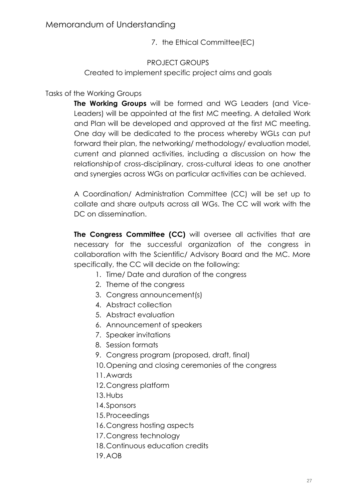7. the Ethical Committee(EC)

#### PROJECT GROUPS

Created to implement specific project aims and goals

#### Tasks of the Working Groups

**The Working Groups** will be formed and WG Leaders (and Vice-Leaders) will be appointed at the first MC meeting. A detailed Work and Plan will be developed and approved at the first MC meeting. One day will be dedicated to the process whereby WGLs can put forward their plan, the networking/ methodology/ evaluation model, current and planned activities, including a discussion on how the relationshipof cross-disciplinary, cross-cultural ideas to one another and synergies across WGs on particular activities can be achieved.

A Coordination/ Administration Committee (CC) will be set up to collate and share outputs across all WGs. The CC will work with the DC on dissemination.

**The Congress Committee (CC)** will oversee all activities that are necessary for the successful organization of the congress in collaboration with the Scientific/ Advisory Board and the MC. More specifically, the CC will decide on the following:

- 1. Time/ Date and duration of the congress
- 2. Theme of the congress
- 3. Congress announcement(s)
- 4. Abstract collection
- 5. Abstract evaluation
- 6. Announcement of speakers
- 7. Speaker invitations
- 8. Session formats
- 9. Congress program (proposed, draft, final)
- 10.Opening and closing ceremonies of the congress
- 11.Awards
- 12.Congress platform
- 13.Hubs
- 14.Sponsors
- 15.Proceedings
- 16.Congress hosting aspects
- 17.Congress technology
- 18.Continuous education credits
- 19.AOB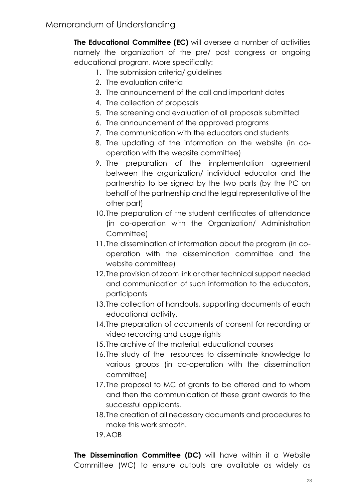**The Educational Committee (EC)** will oversee a number of activities namely the organization of the pre/ post congress or ongoing educational program. More specifically:

- 1. The submission criteria/ guidelines
- 2. The evaluation criteria
- 3. The announcement of the call and important dates
- 4. The collection of proposals
- 5. The screening and evaluation of all proposals submitted
- 6. The announcement of the approved programs
- 7. The communication with the educators and students
- 8. The updating of the information on the website (in cooperation with the website committee)
- 9. The preparation of the implementation agreement between the organization/ individual educator and the partnership to be signed by the two parts (by the PC on behalf of the partnership and the legal representative of the other part)
- 10. The preparation of the student certificates of attendance (in co-operation with the Organization/ Administration Committee)
- 11. The dissemination of information about the program (in cooperation with the dissemination committee and the website committee)
- 12. The provision of zoom link or other technical support needed and communication of such information to the educators, participants
- 13. The collection of handouts, supporting documents of each educational activity.
- 14. The preparation of documents of consent for recording or video recording and usage rights
- 15. The archive of the material, educational courses
- 16. The study of the resources to disseminate knowledge to various groups (in co-operation with the dissemination committee)
- 17. The proposal to MC of grants to be offered and to whom and then the communication of these grant awards to the successful applicants.
- 18. The creation of all necessary documents and procedures to make this work smooth.
- 19.AOB

**The Dissemination Committee (DC)** will have within it a Website Committee (WC) to ensure outputs are available as widely as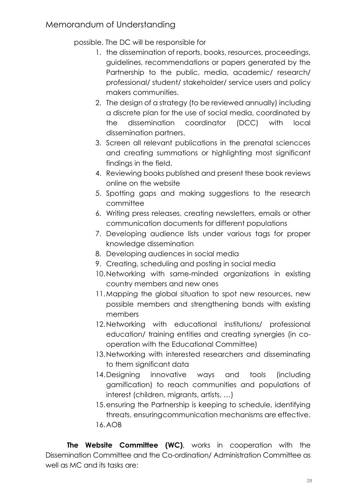possible. The DC will be responsible for

- 1. the dissemination of reports, books, resources, proceedings, guidelines, recommendations or papers generated by the Partnership to the public, media, academic/ research/ professional/ student/ stakeholder/ service users and policy makers communities.
- 2. The design of a strategy (to be reviewed annually) including a discrete plan for the use of social media, coordinated by the dissemination coordinator (DCC) with local dissemination partners.
- 3. Screen all relevant publications in the prenatal sciencces and creating summations or highlighting most significant findings in the field.
- 4. Reviewing books published and present these book reviews online on the website
- 5. Spotting gaps and making suggestions to the research committee
- 6. Writing press releases, creating newsletters, emails or other communication documents for different populations
- 7. Developing audience lists under various tags for proper knowledge dissemination
- 8. Developing audiences in social media
- 9. Creating, scheduling and posting in social media
- 10.Networking with same-minded organizations in existing country members and new ones
- 11.Mapping the global situation to spot new resources, new possible members and strengthening bonds with existing members
- 12.Networking with educational institutions/ professional education/ training entities and creating synergies (in cooperation with the Educational Committee)
- 13.Networking with interested researchers and disseminating to them significant data
- 14. Designing innovative ways and tools (including gamification) to reach communities and populations of interest (children, migrants, artists, …)
- 15.ensuring the Partnership is keeping to schedule, identifying threats, ensuringcommunication mechanisms are effective. 16.AOB

**The Website Committee (WC)**, works in cooperation with the Dissemination Committee and the Co-ordination/ Administration Committee as well as MC and its tasks are: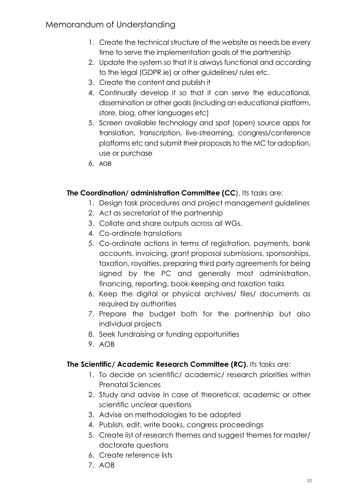- 1. Create the technical structure of the website as needs be every time to serve the implementation goals of the partnership
- 2. Update the system so that it is always functional and according to the legal (GDPR ie) or other guidelines/ rules etc.
- 3. Create the content and publish it
- 4. Continually develop it so that it can serve the educational, dissemination or other goals (including an educational platform, store, blog, other languages etc)
- 5. Screen available technology and spot (open) source apps for translation, transcription, live-streaming, congress/conference platforms etc and submit their proposals to the MC for adoption, use or purchase
- 6. AOB

#### **The Coordination/ administration Committee (CC**). Its tasks are:

- 1. Design task procedures and project management guidelines
- 2. Act as secretariat of the partnership
- 3. Collate and share outputs across all WGs.
- 4. Co-ordinate translations
- 5. Co-ordinate actions in terms of registration, payments, bank accounts, invoicing, grant proposal submissions, sponsorships, taxation, royalties, preparing third party agreements for being signed by the PC and generally most administration, financing, reporting, book-keeping and taxation tasks
- 6. Keep the digital or physical archives/ files/ documents as required by authorities
- 7. Prepare the budget both for the partnership but also individual projects
- 8. Seek fundraising or funding opportunities
- 9. AOB

#### **The Scientific/ Academic Research Committee (RC).** Its tasks are:

- 1. To decide on scientific/ academic/ research priorities within Prenatal Sciences
- 2. Study and advise in case of theoretical, academic or other scientific unclear questions
- 3. Advise on methodologies to be adopted
- 4. Publish, edit, write books, congress proceedings
- 5. Create list of research themes and suggest themes for master/ doctorate questions
- 6. Create reference lists
- 7. AOB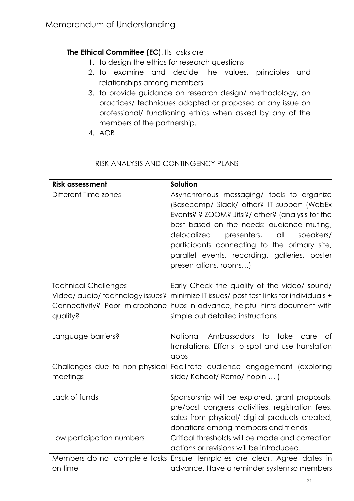#### **The Ethical Committee (EC). Its tasks are**

- 1. to design the ethics for research questions
- 2. to examine and decide the values, principles and relationships among members
- 3. to provide guidance on research design/ methodology, on practices/ techniques adopted or proposed or any issue on professional/ functioning ethics when asked by any of the members of the partnership.
- 4. AOB

#### RISK ANALYSIS AND CONTINGENCY PLANS

| <b>Risk assessment</b>                                                                                       | Solution                                                                                                                                                                                                                                                                                                                                                              |
|--------------------------------------------------------------------------------------------------------------|-----------------------------------------------------------------------------------------------------------------------------------------------------------------------------------------------------------------------------------------------------------------------------------------------------------------------------------------------------------------------|
| Different Time zones                                                                                         | Asynchronous messaging/ tools to organize<br>(Basecamp/ Slack/ other? IT support (WebEx)<br>Events? ? ZOOM? Jitsi?/ other? (analysis for the<br>best based on the needs: audience muting,<br>delocalized<br>presenters,<br>all<br>speakers/<br>participants connecting to the primary site,<br>parallel events, recording, galleries, poster<br>presentations, rooms) |
| <b>Technical Challenges</b><br>Video/ audio/ technology issues?<br>Connectivity? Poor microphone<br>quality? | Early Check the quality of the video/ sound/<br>minimize IT issues/ post test links for individuals +<br>hubs in advance, helpful hints document with<br>simple but detailed instructions                                                                                                                                                                             |
| Language barriers?                                                                                           | National<br>Ambassadors<br>to<br>take<br>care<br>Оf<br>translations. Efforts to spot and use translation<br>apps                                                                                                                                                                                                                                                      |
| Challenges due to non-physical<br>meetings                                                                   | Facilitate audience engagement (exploring<br>slido/Kahoot/Remo/hopin )                                                                                                                                                                                                                                                                                                |
| Lack of funds                                                                                                | Sponsorship will be explored, grant proposals,<br>pre/post congress activities, registration fees,<br>sales from physical/ digital products created,<br>donations among members and friends                                                                                                                                                                           |
| Low participation numbers                                                                                    | Critical thresholds will be made and correction<br>actions or revisions will be introduced.                                                                                                                                                                                                                                                                           |
| Members do not complete tasks                                                                                | Ensure templates are clear. Agree dates in                                                                                                                                                                                                                                                                                                                            |
| on time                                                                                                      | advance. Have a reminder systemso members                                                                                                                                                                                                                                                                                                                             |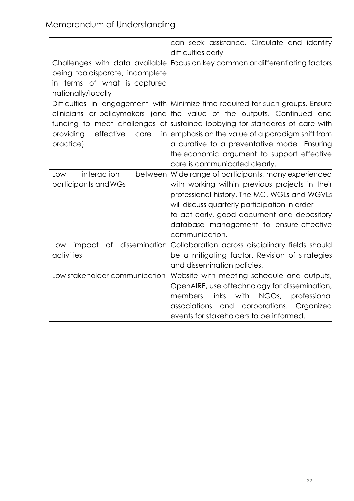|                                 | can seek assistance. Circulate and identify<br>difficulties early              |  |  |
|---------------------------------|--------------------------------------------------------------------------------|--|--|
|                                 | Challenges with data available Focus on key common or differentiating factors  |  |  |
| being too disparate, incomplete |                                                                                |  |  |
| in terms of what is captured    |                                                                                |  |  |
| nationally/locally              |                                                                                |  |  |
|                                 | Difficulties in engagement with Minimize time required for such groups. Ensure |  |  |
|                                 | clinicians or policymakers (and the value of the outputs. Continued and        |  |  |
|                                 | funding to meet challenges of sustained lobbying for standards of care with    |  |  |
| effective<br>providing<br>care  | in emphasis on the value of a paradigm shift from                              |  |  |
| practice)                       | a curative to a preventative model. Ensuring                                   |  |  |
|                                 | the economic argument to support effective                                     |  |  |
|                                 | care is communicated clearly.                                                  |  |  |
| interaction<br>Low              | between Wide range of participants, many experienced                           |  |  |
| participants and WGs            | with working within previous projects in their                                 |  |  |
|                                 | professional history. The MC, WGLs and WGVLs                                   |  |  |
|                                 | will discuss quarterly participation in order                                  |  |  |
|                                 | to act early, good document and depository                                     |  |  |
|                                 | database management to ensure effective                                        |  |  |
|                                 | communication.                                                                 |  |  |
| Low impact                      | of dissemination Collaboration across disciplinary fields should               |  |  |
| activities                      | be a mitigating factor. Revision of strategies                                 |  |  |
|                                 | and dissemination policies.                                                    |  |  |
| Low stakeholder communication   | Website with meeting schedule and outputs,                                     |  |  |
|                                 | OpenAIRE, use oftechnology for dissemination,                                  |  |  |
|                                 | links<br>with<br>NGOs, professional<br>members                                 |  |  |
|                                 | associations<br>and corporations. Organized                                    |  |  |
|                                 | events for stakeholders to be informed.                                        |  |  |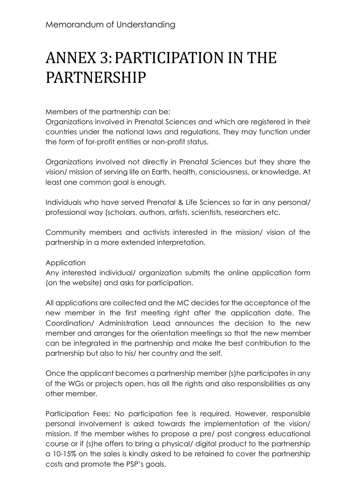# ANNEX 3:PARTICIPATION IN THE PARTNERSHIP

Members of the partnership can be:

Organizations involved in Prenatal Sciences and which are registered in their countries under the national laws and regulations. They may function under the form of for-profit entities or non-profit status.

Organizations involved not directly in Prenatal Sciences but they share the vision/ mission of serving life on Earth, health, consciousness, or knowledge. At least one common goal is enough.

Individuals who have served Prenatal & Life Sciences so far in any personal/ professional way (scholars, authors, artists, scientists, researchers etc.

Community members and activists interested in the mission/ vision of the partnership in a more extended interpretation.

#### Application

Any interested individual/ organization submits the online application form (on the website) and asks for participation.

All applications are collected and the MC decides for the acceptance of the new member in the first meeting right after the application date. The Coordination/ Administration Lead announces the decision to the new member and arranges for the orientation meetings so that the new member can be integrated in the partnership and make the best contribution to the partnership but also to his/ her country and the self.

Once the applicant becomes a partnership member (s)he participates in any of the WGs or projects open, has all the rights and also responsibilities as any other member.

Participation Fees: No participation fee is required. However, responsible personal involvement is asked towards the implementation of the vision/ mission. If the member wishes to propose a pre/ post congress educational course or if (s)he offers to bring a physical/ digital product to the partnership a 10-15% on the sales is kindly asked to be retained to cover the partnership costs and promote the PSP's goals.